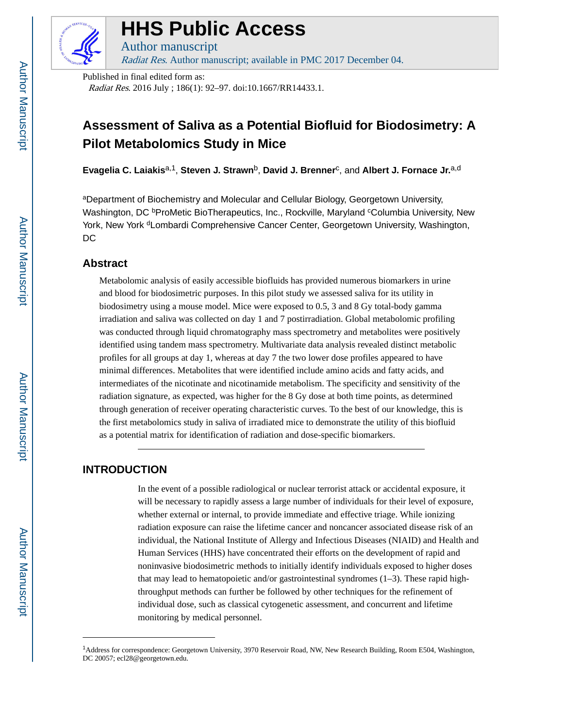

# **HHS Public Access**

Author manuscript Radiat Res. Author manuscript; available in PMC 2017 December 04.

Published in final edited form as:

Radiat Res. 2016 July ; 186(1): 92–97. doi:10.1667/RR14433.1.

## **Assessment of Saliva as a Potential Biofluid for Biodosimetry: A Pilot Metabolomics Study in Mice**

**Evagelia C. Laiakis**a,1, **Steven J. Strawn**b, **David J. Brenner**<sup>c</sup> , and **Albert J. Fornace Jr.**a,d

<sup>a</sup>Department of Biochemistry and Molecular and Cellular Biology, Georgetown University, Washington, DC <sup>b</sup>ProMetic BioTherapeutics, Inc., Rockville, Maryland <sup>c</sup>Columbia University, New York, New York <sup>d</sup>Lombardi Comprehensive Cancer Center, Georgetown University, Washington, D<sub>C</sub>

## **Abstract**

Metabolomic analysis of easily accessible biofluids has provided numerous biomarkers in urine and blood for biodosimetric purposes. In this pilot study we assessed saliva for its utility in biodosimetry using a mouse model. Mice were exposed to 0.5, 3 and 8 Gy total-body gamma irradiation and saliva was collected on day 1 and 7 postirradiation. Global metabolomic profiling was conducted through liquid chromatography mass spectrometry and metabolites were positively identified using tandem mass spectrometry. Multivariate data analysis revealed distinct metabolic profiles for all groups at day 1, whereas at day 7 the two lower dose profiles appeared to have minimal differences. Metabolites that were identified include amino acids and fatty acids, and intermediates of the nicotinate and nicotinamide metabolism. The specificity and sensitivity of the radiation signature, as expected, was higher for the 8 Gy dose at both time points, as determined through generation of receiver operating characteristic curves. To the best of our knowledge, this is the first metabolomics study in saliva of irradiated mice to demonstrate the utility of this biofluid as a potential matrix for identification of radiation and dose-specific biomarkers.

## **INTRODUCTION**

In the event of a possible radiological or nuclear terrorist attack or accidental exposure, it will be necessary to rapidly assess a large number of individuals for their level of exposure, whether external or internal, to provide immediate and effective triage. While ionizing radiation exposure can raise the lifetime cancer and noncancer associated disease risk of an individual, the National Institute of Allergy and Infectious Diseases (NIAID) and Health and Human Services (HHS) have concentrated their efforts on the development of rapid and noninvasive biodosimetric methods to initially identify individuals exposed to higher doses that may lead to hematopoietic and/or gastrointestinal syndromes  $(1-3)$ . These rapid highthroughput methods can further be followed by other techniques for the refinement of individual dose, such as classical cytogenetic assessment, and concurrent and lifetime monitoring by medical personnel.

<sup>1</sup>Address for correspondence: Georgetown University, 3970 Reservoir Road, NW, New Research Building, Room E504, Washington, DC 20057; ecl28@georgetown.edu.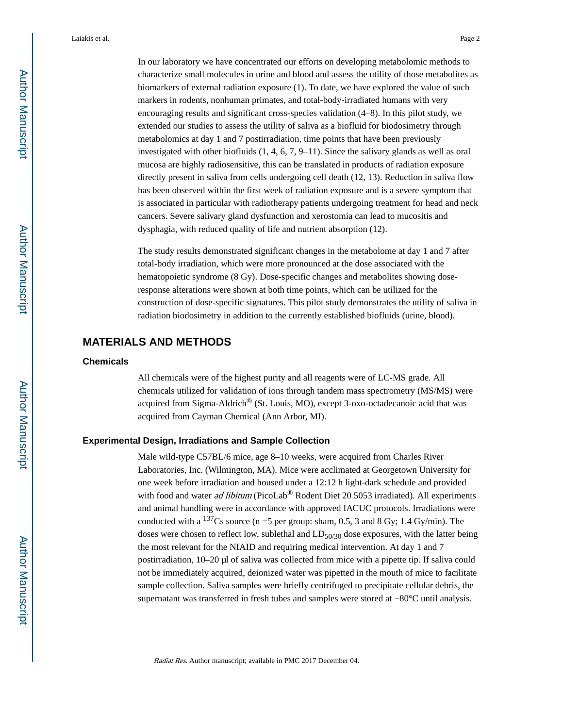In our laboratory we have concentrated our efforts on developing metabolomic methods to characterize small molecules in urine and blood and assess the utility of those metabolites as biomarkers of external radiation exposure (1). To date, we have explored the value of such markers in rodents, nonhuman primates, and total-body-irradiated humans with very encouraging results and significant cross-species validation (4–8). In this pilot study, we extended our studies to assess the utility of saliva as a biofluid for biodosimetry through metabolomics at day 1 and 7 postirradiation, time points that have been previously investigated with other biofluids (1, 4, 6, 7, 9–11). Since the salivary glands as well as oral mucosa are highly radiosensitive, this can be translated in products of radiation exposure directly present in saliva from cells undergoing cell death (12, 13). Reduction in saliva flow has been observed within the first week of radiation exposure and is a severe symptom that is associated in particular with radiotherapy patients undergoing treatment for head and neck cancers. Severe salivary gland dysfunction and xerostomia can lead to mucositis and dysphagia, with reduced quality of life and nutrient absorption (12).

The study results demonstrated significant changes in the metabolome at day 1 and 7 after total-body irradiation, which were more pronounced at the dose associated with the hematopoietic syndrome (8 Gy). Dose-specific changes and metabolites showing doseresponse alterations were shown at both time points, which can be utilized for the construction of dose-specific signatures. This pilot study demonstrates the utility of saliva in radiation biodosimetry in addition to the currently established biofluids (urine, blood).

## **MATERIALS AND METHODS**

#### **Chemicals**

All chemicals were of the highest purity and all reagents were of LC-MS grade. All chemicals utilized for validation of ions through tandem mass spectrometry (MS/MS) were acquired from Sigma-Aldrich® (St. Louis, MO), except 3-oxo-octadecanoic acid that was acquired from Cayman Chemical (Ann Arbor, MI).

#### **Experimental Design, Irradiations and Sample Collection**

Male wild-type C57BL/6 mice, age 8–10 weeks, were acquired from Charles River Laboratories, Inc. (Wilmington, MA). Mice were acclimated at Georgetown University for one week before irradiation and housed under a 12:12 h light-dark schedule and provided with food and water *ad libitum* (PicoLab® Rodent Diet 20 5053 irradiated). All experiments and animal handling were in accordance with approved IACUC protocols. Irradiations were conducted with a <sup>137</sup>Cs source (n =5 per group: sham, 0.5, 3 and 8 Gy; 1.4 Gy/min). The doses were chosen to reflect low, sublethal and  $LD_{50/30}$  dose exposures, with the latter being the most relevant for the NIAID and requiring medical intervention. At day 1 and 7 postirradiation, 10–20 μl of saliva was collected from mice with a pipette tip. If saliva could not be immediately acquired, deionized water was pipetted in the mouth of mice to facilitate sample collection. Saliva samples were briefly centrifuged to precipitate cellular debris, the supernatant was transferred in fresh tubes and samples were stored at −80°C until analysis.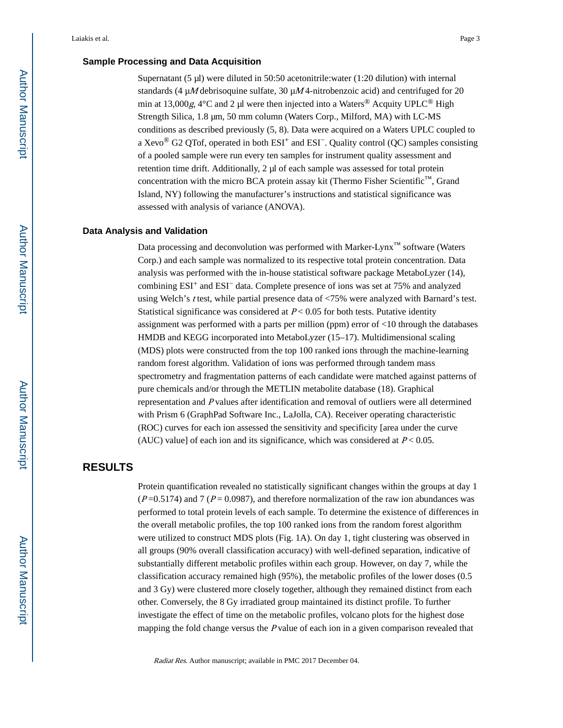#### **Sample Processing and Data Acquisition**

Supernatant (5 μl) were diluted in 50:50 acetonitrile:water (1:20 dilution) with internal standards (4  $\mu$ M debrisoquine sulfate, 30  $\mu$ M 4-nitrobenzoic acid) and centrifuged for 20 min at 13,000g,  $4^{\circ}$ C and 2 µl were then injected into a Waters<sup>®</sup> Acquity UPLC<sup>®</sup> High Strength Silica, 1.8 μm, 50 mm column (Waters Corp., Milford, MA) with LC-MS conditions as described previously (5, 8). Data were acquired on a Waters UPLC coupled to a Xevo<sup>®</sup> G2 QTof, operated in both ESI<sup>+</sup> and ESI<sup>-</sup>. Quality control (QC) samples consisting of a pooled sample were run every ten samples for instrument quality assessment and retention time drift. Additionally, 2 μl of each sample was assessed for total protein concentration with the micro BCA protein assay kit (Thermo Fisher Scientific™, Grand Island, NY) following the manufacturer's instructions and statistical significance was assessed with analysis of variance (ANOVA).

#### **Data Analysis and Validation**

Data processing and deconvolution was performed with Marker-Lynx<sup>™</sup> software (Waters Corp.) and each sample was normalized to its respective total protein concentration. Data analysis was performed with the in-house statistical software package MetaboLyzer (14), combining ESI+ and ESI− data. Complete presence of ions was set at 75% and analyzed using Welch's t test, while partial presence data of <75% were analyzed with Barnard's test. Statistical significance was considered at  $P < 0.05$  for both tests. Putative identity assignment was performed with a parts per million (ppm) error of <10 through the databases HMDB and KEGG incorporated into MetaboLyzer (15–17). Multidimensional scaling (MDS) plots were constructed from the top 100 ranked ions through the machine-learning random forest algorithm. Validation of ions was performed through tandem mass spectrometry and fragmentation patterns of each candidate were matched against patterns of pure chemicals and/or through the METLIN metabolite database (18). Graphical representation and P values after identification and removal of outliers were all determined with Prism 6 (GraphPad Software Inc., LaJolla, CA). Receiver operating characteristic (ROC) curves for each ion assessed the sensitivity and specificity [area under the curve (AUC) value] of each ion and its significance, which was considered at  $P < 0.05$ .

### **RESULTS**

Protein quantification revealed no statistically significant changes within the groups at day 1  $(P=0.5174)$  and 7 ( $P=0.0987$ ), and therefore normalization of the raw ion abundances was performed to total protein levels of each sample. To determine the existence of differences in the overall metabolic profiles, the top 100 ranked ions from the random forest algorithm were utilized to construct MDS plots (Fig. 1A). On day 1, tight clustering was observed in all groups (90% overall classification accuracy) with well-defined separation, indicative of substantially different metabolic profiles within each group. However, on day 7, while the classification accuracy remained high (95%), the metabolic profiles of the lower doses (0.5 and 3 Gy) were clustered more closely together, although they remained distinct from each other. Conversely, the 8 Gy irradiated group maintained its distinct profile. To further investigate the effect of time on the metabolic profiles, volcano plots for the highest dose mapping the fold change versus the P value of each ion in a given comparison revealed that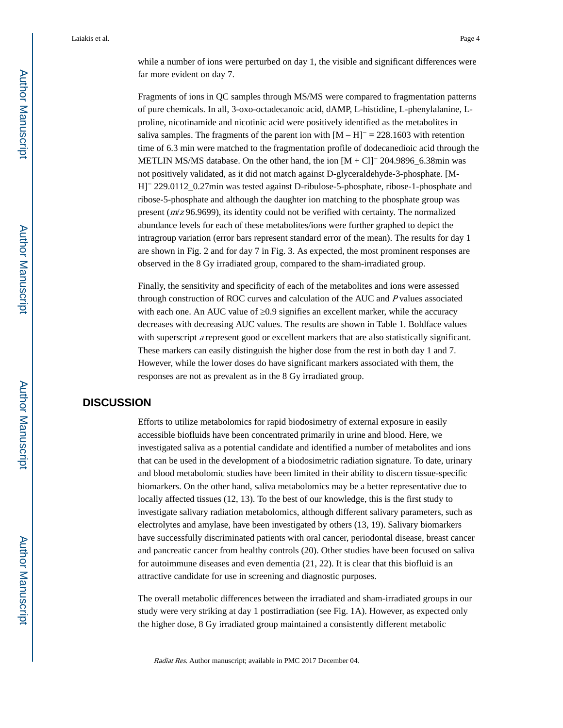while a number of ions were perturbed on day 1, the visible and significant differences were far more evident on day 7.

Fragments of ions in QC samples through MS/MS were compared to fragmentation patterns of pure chemicals. In all, 3-oxo-octadecanoic acid, dAMP, L-histidine, L-phenylalanine, Lproline, nicotinamide and nicotinic acid were positively identified as the metabolites in saliva samples. The fragments of the parent ion with  $[M - H]^- = 228.1603$  with retention time of 6.3 min were matched to the fragmentation profile of dodecanedioic acid through the METLIN MS/MS database. On the other hand, the ion [M + Cl]− 204.9896\_6.38min was not positively validated, as it did not match against D-glyceraldehyde-3-phosphate. [M-H]− 229.0112\_0.27min was tested against D-ribulose-5-phosphate, ribose-1-phosphate and ribose-5-phosphate and although the daughter ion matching to the phosphate group was present (m/z 96.9699), its identity could not be verified with certainty. The normalized abundance levels for each of these metabolites/ions were further graphed to depict the intragroup variation (error bars represent standard error of the mean). The results for day 1 are shown in Fig. 2 and for day 7 in Fig. 3. As expected, the most prominent responses are observed in the 8 Gy irradiated group, compared to the sham-irradiated group.

Finally, the sensitivity and specificity of each of the metabolites and ions were assessed through construction of ROC curves and calculation of the AUC and P values associated with each one. An AUC value of 0.9 signifies an excellent marker, while the accuracy decreases with decreasing AUC values. The results are shown in Table 1. Boldface values with superscript a represent good or excellent markers that are also statistically significant. These markers can easily distinguish the higher dose from the rest in both day 1 and 7. However, while the lower doses do have significant markers associated with them, the responses are not as prevalent as in the 8 Gy irradiated group.

#### **DISCUSSION**

Efforts to utilize metabolomics for rapid biodosimetry of external exposure in easily accessible biofluids have been concentrated primarily in urine and blood. Here, we investigated saliva as a potential candidate and identified a number of metabolites and ions that can be used in the development of a biodosimetric radiation signature. To date, urinary and blood metabolomic studies have been limited in their ability to discern tissue-specific biomarkers. On the other hand, saliva metabolomics may be a better representative due to locally affected tissues (12, 13). To the best of our knowledge, this is the first study to investigate salivary radiation metabolomics, although different salivary parameters, such as electrolytes and amylase, have been investigated by others (13, 19). Salivary biomarkers have successfully discriminated patients with oral cancer, periodontal disease, breast cancer and pancreatic cancer from healthy controls (20). Other studies have been focused on saliva for autoimmune diseases and even dementia (21, 22). It is clear that this biofluid is an attractive candidate for use in screening and diagnostic purposes.

The overall metabolic differences between the irradiated and sham-irradiated groups in our study were very striking at day 1 postirradiation (see Fig. 1A). However, as expected only the higher dose, 8 Gy irradiated group maintained a consistently different metabolic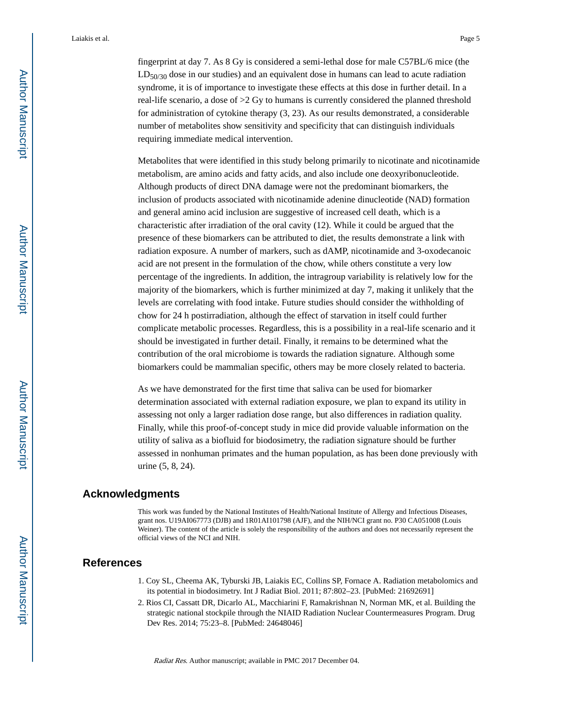fingerprint at day 7. As 8 Gy is considered a semi-lethal dose for male C57BL/6 mice (the  $LD_{50/30}$  dose in our studies) and an equivalent dose in humans can lead to acute radiation syndrome, it is of importance to investigate these effects at this dose in further detail. In a real-life scenario, a dose of >2 Gy to humans is currently considered the planned threshold for administration of cytokine therapy (3, 23). As our results demonstrated, a considerable number of metabolites show sensitivity and specificity that can distinguish individuals requiring immediate medical intervention.

Metabolites that were identified in this study belong primarily to nicotinate and nicotinamide metabolism, are amino acids and fatty acids, and also include one deoxyribonucleotide. Although products of direct DNA damage were not the predominant biomarkers, the inclusion of products associated with nicotinamide adenine dinucleotide (NAD) formation and general amino acid inclusion are suggestive of increased cell death, which is a characteristic after irradiation of the oral cavity (12). While it could be argued that the presence of these biomarkers can be attributed to diet, the results demonstrate a link with radiation exposure. A number of markers, such as dAMP, nicotinamide and 3-oxodecanoic acid are not present in the formulation of the chow, while others constitute a very low percentage of the ingredients. In addition, the intragroup variability is relatively low for the majority of the biomarkers, which is further minimized at day 7, making it unlikely that the levels are correlating with food intake. Future studies should consider the withholding of chow for 24 h postirradiation, although the effect of starvation in itself could further complicate metabolic processes. Regardless, this is a possibility in a real-life scenario and it should be investigated in further detail. Finally, it remains to be determined what the contribution of the oral microbiome is towards the radiation signature. Although some biomarkers could be mammalian specific, others may be more closely related to bacteria.

As we have demonstrated for the first time that saliva can be used for biomarker determination associated with external radiation exposure, we plan to expand its utility in assessing not only a larger radiation dose range, but also differences in radiation quality. Finally, while this proof-of-concept study in mice did provide valuable information on the utility of saliva as a biofluid for biodosimetry, the radiation signature should be further assessed in nonhuman primates and the human population, as has been done previously with urine (5, 8, 24).

#### **Acknowledgments**

This work was funded by the National Institutes of Health/National Institute of Allergy and Infectious Diseases, grant nos. U19AI067773 (DJB) and 1R01AI101798 (AJF), and the NIH/NCI grant no. P30 CA051008 (Louis Weiner). The content of the article is solely the responsibility of the authors and does not necessarily represent the official views of the NCI and NIH.

#### **References**

- 1. Coy SL, Cheema AK, Tyburski JB, Laiakis EC, Collins SP, Fornace A. Radiation metabolomics and its potential in biodosimetry. Int J Radiat Biol. 2011; 87:802–23. [PubMed: 21692691]
- 2. Rios CI, Cassatt DR, Dicarlo AL, Macchiarini F, Ramakrishnan N, Norman MK, et al. Building the strategic national stockpile through the NIAID Radiation Nuclear Countermeasures Program. Drug Dev Res. 2014; 75:23–8. [PubMed: 24648046]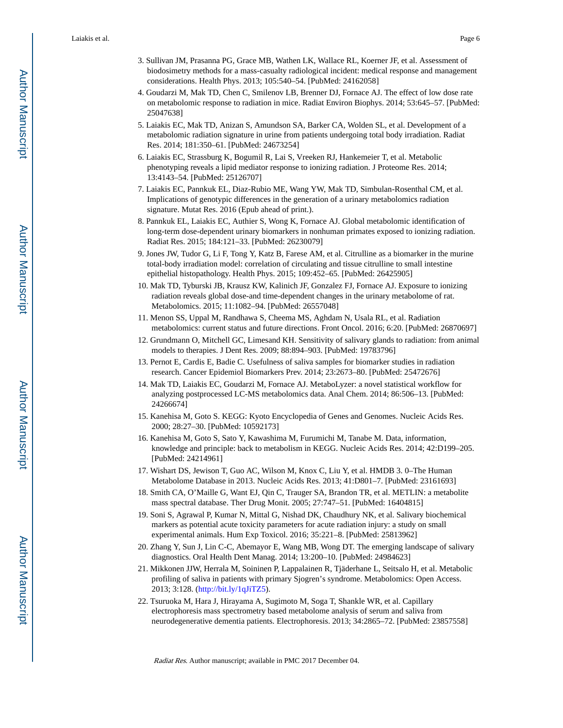- 3. Sullivan JM, Prasanna PG, Grace MB, Wathen LK, Wallace RL, Koerner JF, et al. Assessment of biodosimetry methods for a mass-casualty radiological incident: medical response and management considerations. Health Phys. 2013; 105:540–54. [PubMed: 24162058]
- 4. Goudarzi M, Mak TD, Chen C, Smilenov LB, Brenner DJ, Fornace AJ. The effect of low dose rate on metabolomic response to radiation in mice. Radiat Environ Biophys. 2014; 53:645–57. [PubMed: 25047638]
- 5. Laiakis EC, Mak TD, Anizan S, Amundson SA, Barker CA, Wolden SL, et al. Development of a metabolomic radiation signature in urine from patients undergoing total body irradiation. Radiat Res. 2014; 181:350–61. [PubMed: 24673254]
- 6. Laiakis EC, Strassburg K, Bogumil R, Lai S, Vreeken RJ, Hankemeier T, et al. Metabolic phenotyping reveals a lipid mediator response to ionizing radiation. J Proteome Res. 2014; 13:4143–54. [PubMed: 25126707]
- 7. Laiakis EC, Pannkuk EL, Diaz-Rubio ME, Wang YW, Mak TD, Simbulan-Rosenthal CM, et al. Implications of genotypic differences in the generation of a urinary metabolomics radiation signature. Mutat Res. 2016 (Epub ahead of print.).
- 8. Pannkuk EL, Laiakis EC, Authier S, Wong K, Fornace AJ. Global metabolomic identification of long-term dose-dependent urinary biomarkers in nonhuman primates exposed to ionizing radiation. Radiat Res. 2015; 184:121–33. [PubMed: 26230079]
- 9. Jones JW, Tudor G, Li F, Tong Y, Katz B, Farese AM, et al. Citrulline as a biomarker in the murine total-body irradiation model: correlation of circulating and tissue citrulline to small intestine epithelial histopathology. Health Phys. 2015; 109:452–65. [PubMed: 26425905]
- 10. Mak TD, Tyburski JB, Krausz KW, Kalinich JF, Gonzalez FJ, Fornace AJ. Exposure to ionizing radiation reveals global dose-and time-dependent changes in the urinary metabolome of rat. Metabolomics. 2015; 11:1082–94. [PubMed: 26557048]
- 11. Menon SS, Uppal M, Randhawa S, Cheema MS, Aghdam N, Usala RL, et al. Radiation metabolomics: current status and future directions. Front Oncol. 2016; 6:20. [PubMed: 26870697]
- 12. Grundmann O, Mitchell GC, Limesand KH. Sensitivity of salivary glands to radiation: from animal models to therapies. J Dent Res. 2009; 88:894–903. [PubMed: 19783796]
- 13. Pernot E, Cardis E, Badie C. Usefulness of saliva samples for biomarker studies in radiation research. Cancer Epidemiol Biomarkers Prev. 2014; 23:2673–80. [PubMed: 25472676]
- 14. Mak TD, Laiakis EC, Goudarzi M, Fornace AJ. MetaboLyzer: a novel statistical workflow for analyzing postprocessed LC-MS metabolomics data. Anal Chem. 2014; 86:506–13. [PubMed: 24266674]
- 15. Kanehisa M, Goto S. KEGG: Kyoto Encyclopedia of Genes and Genomes. Nucleic Acids Res. 2000; 28:27–30. [PubMed: 10592173]
- 16. Kanehisa M, Goto S, Sato Y, Kawashima M, Furumichi M, Tanabe M. Data, information, knowledge and principle: back to metabolism in KEGG. Nucleic Acids Res. 2014; 42:D199–205. [PubMed: 24214961]
- 17. Wishart DS, Jewison T, Guo AC, Wilson M, Knox C, Liu Y, et al. HMDB 3. 0–The Human Metabolome Database in 2013. Nucleic Acids Res. 2013; 41:D801–7. [PubMed: 23161693]
- 18. Smith CA, O'Maille G, Want EJ, Qin C, Trauger SA, Brandon TR, et al. METLIN: a metabolite mass spectral database. Ther Drug Monit. 2005; 27:747–51. [PubMed: 16404815]
- 19. Soni S, Agrawal P, Kumar N, Mittal G, Nishad DK, Chaudhury NK, et al. Salivary biochemical markers as potential acute toxicity parameters for acute radiation injury: a study on small experimental animals. Hum Exp Toxicol. 2016; 35:221–8. [PubMed: 25813962]
- 20. Zhang Y, Sun J, Lin C-C, Abemayor E, Wang MB, Wong DT. The emerging landscape of salivary diagnostics. Oral Health Dent Manag. 2014; 13:200–10. [PubMed: 24984623]
- 21. Mikkonen JJW, Herrala M, Soininen P, Lappalainen R, Tjäderhane L, Seitsalo H, et al. Metabolic profiling of saliva in patients with primary Sjogren's syndrome. Metabolomics: Open Access. 2013; 3:128. (<http://bit.ly/1qJiTZ5>).
- 22. Tsuruoka M, Hara J, Hirayama A, Sugimoto M, Soga T, Shankle WR, et al. Capillary electrophoresis mass spectrometry based metabolome analysis of serum and saliva from neurodegenerative dementia patients. Electrophoresis. 2013; 34:2865–72. [PubMed: 23857558]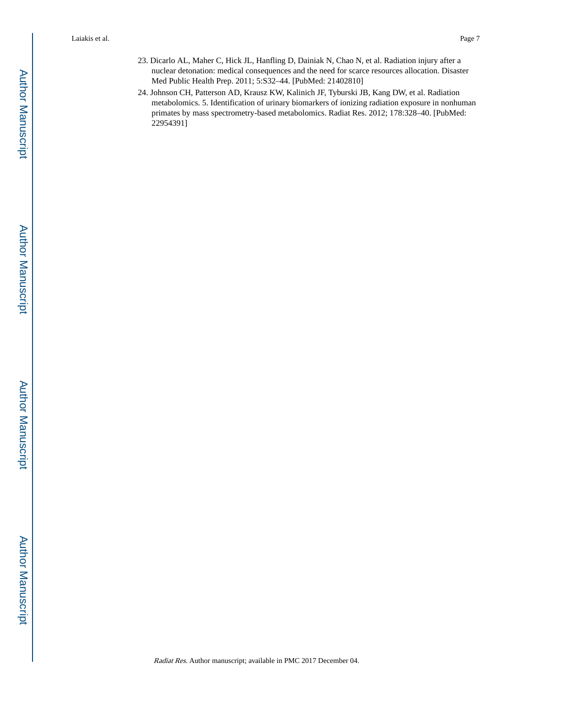- 23. Dicarlo AL, Maher C, Hick JL, Hanfling D, Dainiak N, Chao N, et al. Radiation injury after a nuclear detonation: medical consequences and the need for scarce resources allocation. Disaster Med Public Health Prep. 2011; 5:S32–44. [PubMed: 21402810]
- 24. Johnson CH, Patterson AD, Krausz KW, Kalinich JF, Tyburski JB, Kang DW, et al. Radiation metabolomics. 5. Identification of urinary biomarkers of ionizing radiation exposure in nonhuman primates by mass spectrometry-based metabolomics. Radiat Res. 2012; 178:328–40. [PubMed: 22954391]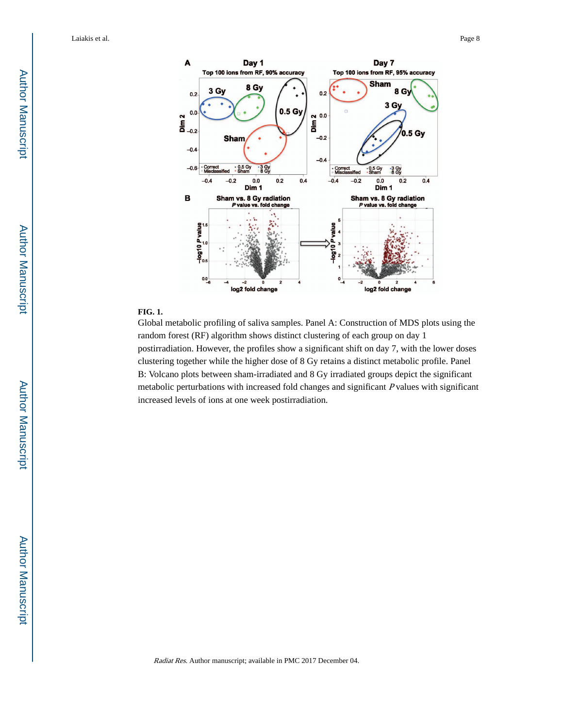

#### **FIG. 1.**

Global metabolic profiling of saliva samples. Panel A: Construction of MDS plots using the random forest (RF) algorithm shows distinct clustering of each group on day 1 postirradiation. However, the profiles show a significant shift on day 7, with the lower doses clustering together while the higher dose of 8 Gy retains a distinct metabolic profile. Panel B: Volcano plots between sham-irradiated and 8 Gy irradiated groups depict the significant metabolic perturbations with increased fold changes and significant P values with significant increased levels of ions at one week postirradiation.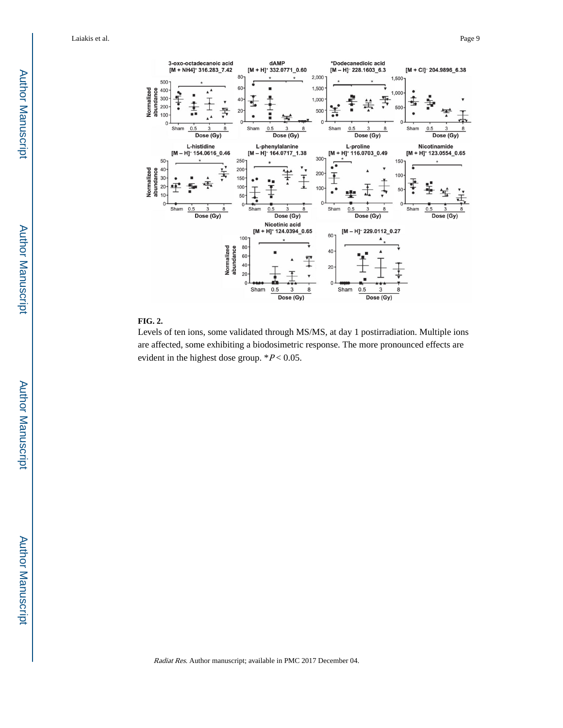

#### **FIG. 2.**

Levels of ten ions, some validated through MS/MS, at day 1 postirradiation. Multiple ions are affected, some exhibiting a biodosimetric response. The more pronounced effects are evident in the highest dose group.  $*P < 0.05$ .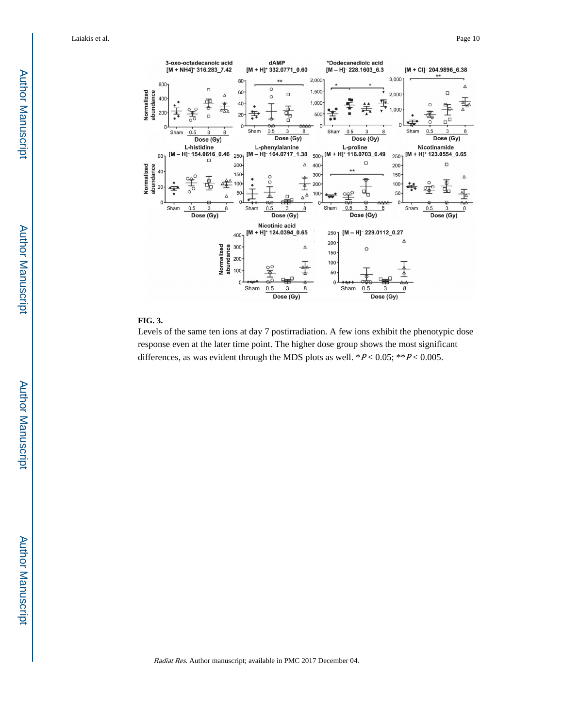

#### **FIG. 3.**

Levels of the same ten ions at day 7 postirradiation. A few ions exhibit the phenotypic dose response even at the later time point. The higher dose group shows the most significant differences, as was evident through the MDS plots as well.  $*P < 0.05$ ;  $*P < 0.005$ .